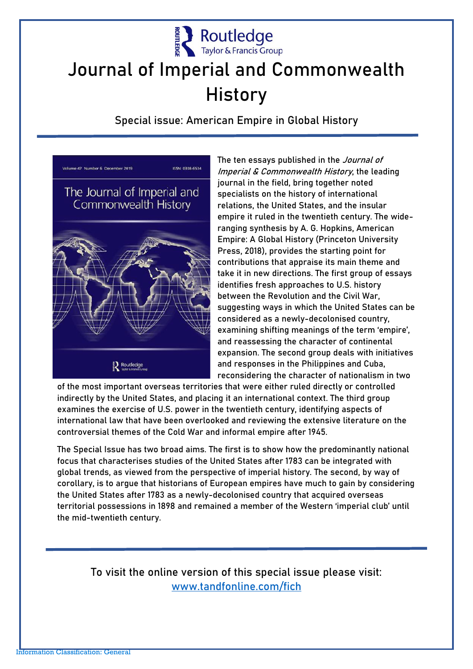

## **Journal of Imperial and Commonwealth History**

Special issue: American Empire in Global History



The ten essays published in the *Journal of* Imperial & Commonwealth History, the leading journal in the field, bring together noted specialists on the history of international relations, the United States, and the insular empire it ruled in the twentieth century. The wideranging synthesis by A. G. Hopkins, American Empire: A Global History (Princeton University Press, 2018), provides the starting point for contributions that appraise its main theme and take it in new directions. The first group of essays identifies fresh approaches to U.S. history between the Revolution and the Civil War, suggesting ways in which the United States can be considered as a newly-decolonised country, examining shifting meanings of the term 'empire', and reassessing the character of continental expansion. The second group deals with initiatives and responses in the Philippines and Cuba, reconsidering the character of nationalism in two

of the most important overseas territories that were either ruled directly or controlled indirectly by the United States, and placing it an international context. The third group examines the exercise of U.S. power in the twentieth century, identifying aspects of international law that have been overlooked and reviewing the extensive literature on the controversial themes of the Cold War and informal empire after 1945.

The Special Issue has two broad aims. The first is to show how the predominantly national focus that characterises studies of the United States after 1783 can be integrated with global trends, as viewed from the perspective of imperial history. The second, by way of corollary, is to argue that historians of European empires have much to gain by considering the United States after 1783 as a newly-decolonised country that acquired overseas territorial possessions in 1898 and remained a member of the Western 'imperial club' until the mid-twentieth century.

To visit the online version of this special issue please visit: [www.tandfonline.com/fich](http://www.tandfonline.com/fich)